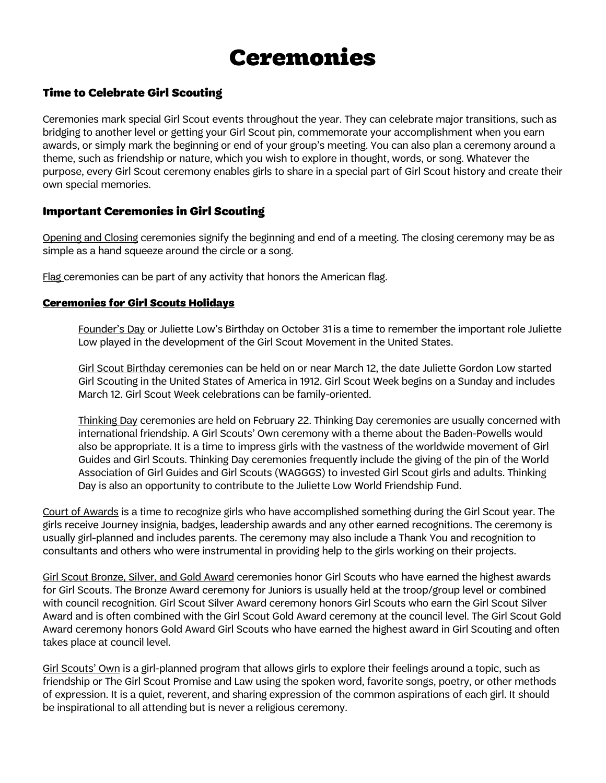# Ceremonies

### Time to Celebrate Girl Scouting

Ceremonies mark special Girl Scout events throughout the year. They can celebrate major transitions, such as bridging to another level or getting your Girl Scout pin, commemorate your accomplishment when you earn awards, or simply mark the beginning or end of your group's meeting. You can also plan a ceremony around a theme, such as friendship or nature, which you wish to explore in thought, words, or song. Whatever the purpose, every Girl Scout ceremony enables girls to share in a special part of Girl Scout history and create their own special memories.

### Important Ceremonies in Girl Scouting

Opening and Closing ceremonies signify the beginning and end of a meeting. The closing ceremony may be as simple as a hand squeeze around the circle or a song.

Flag ceremonies can be part of any activity that honors the American flag.

#### Ceremonies for Girl Scouts Holidays

Founder's Day or Juliette Low's Birthday on October 31is a time to remember the important role Juliette Low played in the development of the Girl Scout Movement in the United States.

Girl Scout Birthday ceremonies can be held on or near March 12, the date Juliette Gordon Low started Girl Scouting in the United States of America in 1912. Girl Scout Week begins on a Sunday and includes March 12. Girl Scout Week celebrations can be family-oriented.

Thinking Day ceremonies are held on February 22. Thinking Day ceremonies are usually concerned with international friendship. A Girl Scouts' Own ceremony with a theme about the Baden-Powells would also be appropriate. It is a time to impress girls with the vastness of the worldwide movement of Girl Guides and Girl Scouts. Thinking Day ceremonies frequently include the giving of the pin of the World Association of Girl Guides and Girl Scouts (WAGGGS) to invested Girl Scout girls and adults. Thinking Day is also an opportunity to contribute to the Juliette Low World Friendship Fund.

Court of Awards is a time to recognize girls who have accomplished something during the Girl Scout year. The girls receive Journey insignia, badges, leadership awards and any other earned recognitions. The ceremony is usually girl-planned and includes parents. The ceremony may also include a Thank You and recognition to consultants and others who were instrumental in providing help to the girls working on their projects.

Girl Scout Bronze, Silver, and Gold Award ceremonies honor Girl Scouts who have earned the highest awards for Girl Scouts. The Bronze Award ceremony for Juniors is usually held at the troop/group level or combined with council recognition. Girl Scout Silver Award ceremony honors Girl Scouts who earn the Girl Scout Silver Award and is often combined with the Girl Scout Gold Award ceremony at the council level. The Girl Scout Gold Award ceremony honors Gold Award Girl Scouts who have earned the highest award in Girl Scouting and often takes place at council level.

Girl Scouts' Own is a girl-planned program that allows girls to explore their feelings around a topic, such as friendship or The Girl Scout Promise and Law using the spoken word, favorite songs, poetry, or other methods of expression. It is a quiet, reverent, and sharing expression of the common aspirations of each girl. It should be inspirational to all attending but is never a religious ceremony.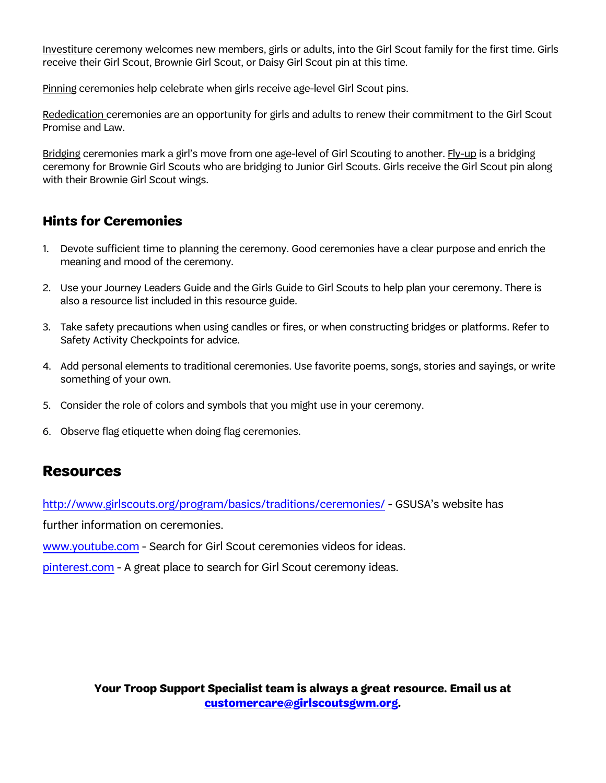Investiture ceremony welcomes new members, girls or adults, into the Girl Scout family for the first time. Girls receive their Girl Scout, Brownie Girl Scout, or Daisy Girl Scout pin at this time.

Pinning ceremonies help celebrate when girls receive age-level Girl Scout pins.

Rededication ceremonies are an opportunity for girls and adults to renew their commitment to the Girl Scout Promise and Law.

Bridging ceremonies mark a girl's move from one age-level of Girl Scouting to another. Fly-up is a bridging ceremony for Brownie Girl Scouts who are bridging to Junior Girl Scouts. Girls receive the Girl Scout pin along with their Brownie Girl Scout wings.

# **Hints for Ceremonies**

- 1. Devote sufficient time to planning the ceremony. Good ceremonies have a clear purpose and enrich the meaning and mood of the ceremony.
- 2. Use your Journey Leaders Guide and the Girls Guide to Girl Scouts to help plan your ceremony. There is also a resource list included in this resource guide.
- 3. Take safety precautions when using candles or fires, or when constructing bridges or platforms. Refer to Safety Activity Checkpoints for advice.
- 4. Add personal elements to traditional ceremonies. Use favorite poems, songs, stories and sayings, or write something of your own.
- 5. Consider the role of colors and symbols that you might use in your ceremony.
- 6. Observe flag etiquette when doing flag ceremonies.

# **Resources**

<http://www.girlscouts.org/program/basics/traditions/ceremonies/> - GSUSA's website has

further information on ceremonies.

[www.youtube.com](http://www.scoutingweb.com/) - Search for Girl Scout ceremonies videos for ideas.

p[interest.com - A gr](http://www.youtube.com/)eat place to search for Girl Scout ceremony ideas.

**Your Troop Support Specialist team is always a great resource. Email us at [customercare@girlscoutsgwm.org.](mailto:customercare@girlscoutsgwm.org)**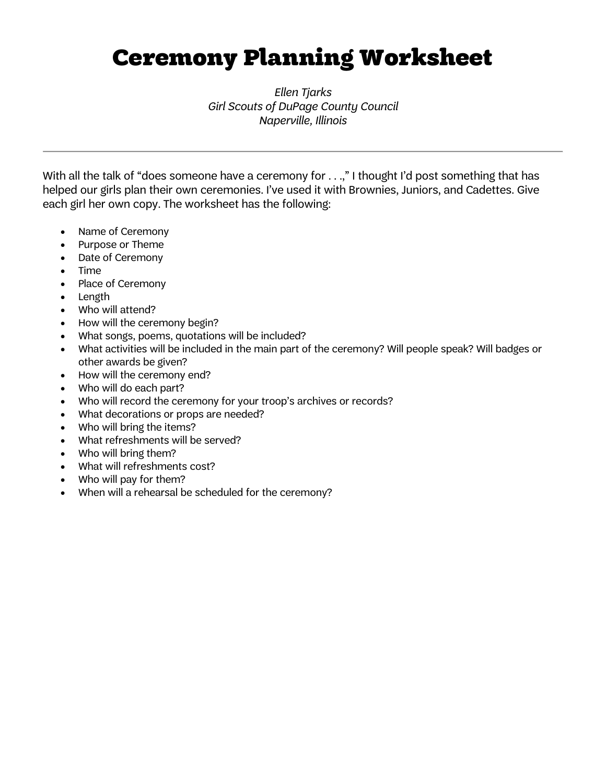# Ceremony Planning Worksheet

*Ellen Tjarks Girl Scouts of DuPage County Council Naperville, Illinois*

With all the talk of "does someone have a ceremony for . . .," I thought I'd post something that has helped our girls plan their own ceremonies. I've used it with Brownies, Juniors, and Cadettes. Give each girl her own copy. The worksheet has the following:

- Name of Ceremony
- Purpose or Theme
- Date of Ceremony
- Time
- Place of Ceremony
- Length
- Who will attend?
- How will the ceremony begin?
- What songs, poems, quotations will be included?
- What activities will be included in the main part of the ceremony? Will people speak? Will badges or other awards be given?
- How will the ceremony end?
- Who will do each part?
- Who will record the ceremony for your troop's archives or records?
- What decorations or props are needed?
- Who will bring the items?
- What refreshments will be served?
- Who will bring them?
- What will refreshments cost?
- Who will pay for them?
- When will a rehearsal be scheduled for the ceremony?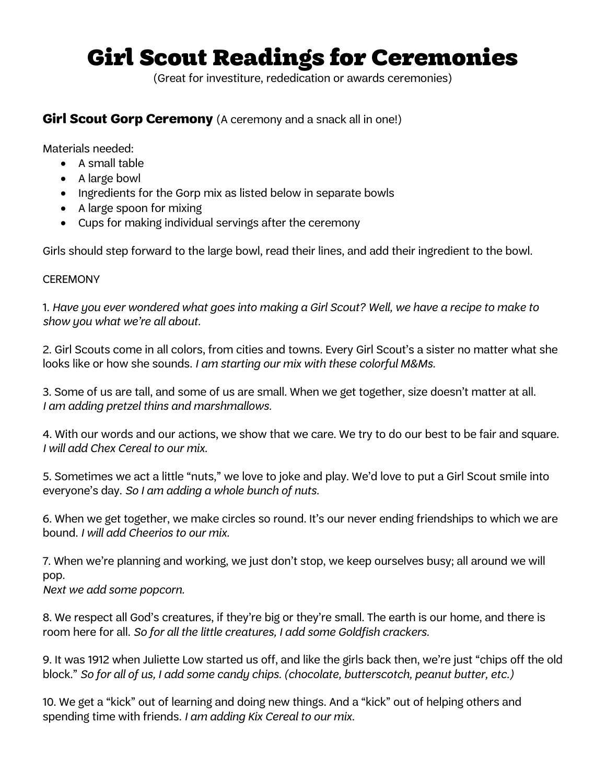# Girl Scout Readings for Ceremonies

(Great for investiture, rededication or awards ceremonies)

## **Girl Scout Gorp Ceremony** (A ceremony and a snack all in one!)

Materials needed:

- A small table
- A large bowl
- Ingredients for the Gorp mix as listed below in separate bowls
- A large spoon for mixing
- Cups for making individual servings after the ceremony

Girls should step forward to the large bowl, read their lines, and add their ingredient to the bowl.

### **CEREMONY**

1. *Have you ever wondered what goes into making a Girl Scout? Well, we have a recipe to make to show you what we're all about.*

2. Girl Scouts come in all colors, from cities and towns. Every Girl Scout's a sister no matter what she looks like or how she sounds. *I am starting our mix with these colorful M&Ms.*

3. Some of us are tall, and some of us are small. When we get together, size doesn't matter at all. *I am adding pretzel thins and marshmallows.*

4. With our words and our actions, we show that we care. We try to do our best to be fair and square. *I will add Chex Cereal to our mix.*

5. Sometimes we act a little "nuts," we love to joke and play. We'd love to put a Girl Scout smile into everyone's day. *So I am adding a whole bunch of nuts.*

6. When we get together, we make circles so round. It's our never ending friendships to which we are bound. *I will add Cheerios to our mix.*

7. When we're planning and working, we just don't stop, we keep ourselves busy; all around we will pop.

*Next we add some popcorn.*

8. We respect all God's creatures, if they're big or they're small. The earth is our home, and there is room here for all. *So for all the little creatures, I add some Goldfish crackers.*

9. It was 1912 when Juliette Low started us off, and like the girls back then, we're just "chips off the old block." *So for all of us, I add some candy chips. (chocolate, butterscotch, peanut butter, etc.)*

10. We get a "kick" out of learning and doing new things. And a "kick" out of helping others and spending time with friends. *I am adding Kix Cereal to our mix.*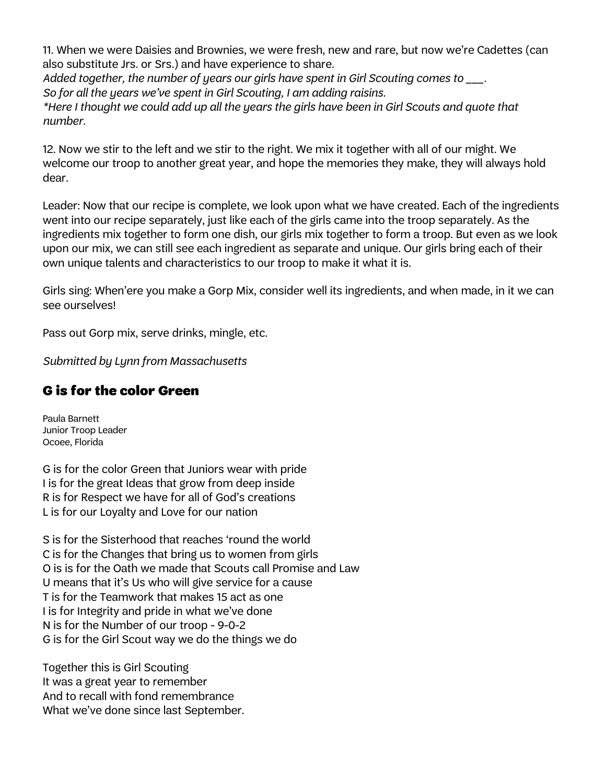11. When we were Daisies and Brownies, we were fresh, new and rare, but now we're Cadettes (can also substitute Jrs. or Srs.) and have experience to share.

*Added together, the number of years our girls have spent in Girl Scouting comes to \_\_\_. So for all the years we've spent in Girl Scouting, I am adding raisins.* 

*\*Here I thought we could add up all the years the girls have been in Girl Scouts and quote that number.*

12. Now we stir to the left and we stir to the right. We mix it together with all of our might. We welcome our troop to another great year, and hope the memories they make, they will always hold dear.

Leader: Now that our recipe is complete, we look upon what we have created. Each of the ingredients went into our recipe separately, just like each of the girls came into the troop separately. As the ingredients mix together to form one dish, our girls mix together to form a troop. But even as we look upon our mix, we can still see each ingredient as separate and unique. Our girls bring each of their own unique talents and characteristics to our troop to make it what it is.

Girls sing: When'ere you make a Gorp Mix, consider well its ingredients, and when made, in it we can see ourselves!

Pass out Gorp mix, serve drinks, mingle, etc.

*Submitted by Lynn from Massachusetts*

# G is for the color Green

Paula Barnett Junior Troop Leader Ocoee, Florida

G is for the color Green that Juniors wear with pride I is for the great Ideas that grow from deep inside R is for Respect we have for all of God's creations L is for our Loyalty and Love for our nation

S is for the Sisterhood that reaches 'round the world C is for the Changes that bring us to women from girls O is is for the Oath we made that Scouts call Promise and Law U means that it's Us who will give service for a cause T is for the Teamwork that makes 15 act as one I is for Integrity and pride in what we've done N is for the Number of our troop - 9-0-2 G is for the Girl Scout way we do the things we do

Together this is Girl Scouting It was a great year to remember And to recall with fond remembrance What we've done since last September.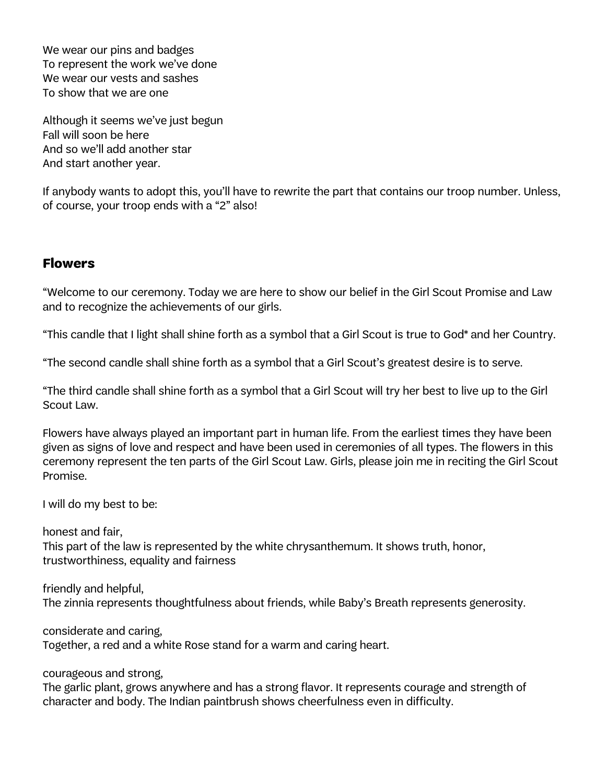We wear our pins and badges To represent the work we've done We wear our vests and sashes To show that we are one

Although it seems we've just begun Fall will soon be here And so we'll add another star And start another year.

If anybody wants to adopt this, you'll have to rewrite the part that contains our troop number. Unless, of course, your troop ends with a "2" also!

## **Flowers**

"Welcome to our ceremony. Today we are here to show our belief in the Girl Scout Promise and Law and to recognize the achievements of our girls.

"This candle that I light shall shine forth as a symbol that a Girl Scout is true to God\* and her Country.

"The second candle shall shine forth as a symbol that a Girl Scout's greatest desire is to serve.

"The third candle shall shine forth as a symbol that a Girl Scout will try her best to live up to the Girl Scout Law.

Flowers have always played an important part in human life. From the earliest times they have been given as signs of love and respect and have been used in ceremonies of all types. The flowers in this ceremony represent the ten parts of the Girl Scout Law. Girls, please join me in reciting the Girl Scout Promise.

I will do my best to be:

honest and fair, This part of the law is represented by the white chrysanthemum. It shows truth, honor, trustworthiness, equality and fairness

friendly and helpful, The zinnia represents thoughtfulness about friends, while Baby's Breath represents generosity.

considerate and caring, Together, a red and a white Rose stand for a warm and caring heart.

courageous and strong,

The garlic plant, grows anywhere and has a strong flavor. It represents courage and strength of character and body. The Indian paintbrush shows cheerfulness even in difficulty.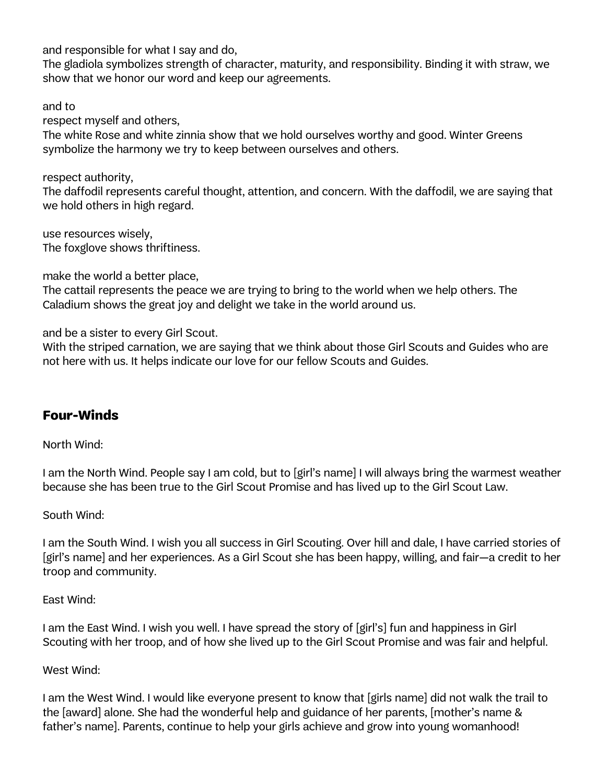and responsible for what I say and do,

The gladiola symbolizes strength of character, maturity, and responsibility. Binding it with straw, we show that we honor our word and keep our agreements.

and to

respect myself and others,

The white Rose and white zinnia show that we hold ourselves worthy and good. Winter Greens symbolize the harmony we try to keep between ourselves and others.

respect authority,

The daffodil represents careful thought, attention, and concern. With the daffodil, we are saying that we hold others in high regard.

use resources wisely, The foxglove shows thriftiness.

make the world a better place,

The cattail represents the peace we are trying to bring to the world when we help others. The Caladium shows the great joy and delight we take in the world around us.

and be a sister to every Girl Scout.

With the striped carnation, we are saying that we think about those Girl Scouts and Guides who are not here with us. It helps indicate our love for our fellow Scouts and Guides.

# **Four-Winds**

North Wind:

I am the North Wind. People say I am cold, but to [girl's name] I will always bring the warmest weather because she has been true to the Girl Scout Promise and has lived up to the Girl Scout Law.

South Wind:

I am the South Wind. I wish you all success in Girl Scouting. Over hill and dale, I have carried stories of [girl's name] and her experiences. As a Girl Scout she has been happy, willing, and fair—a credit to her troop and community.

East Wind:

I am the East Wind. I wish you well. I have spread the story of [girl's] fun and happiness in Girl Scouting with her troop, and of how she lived up to the Girl Scout Promise and was fair and helpful.

West Wind:

I am the West Wind. I would like everyone present to know that [girls name] did not walk the trail to the [award] alone. She had the wonderful help and guidance of her parents, [mother's name & father's name]. Parents, continue to help your girls achieve and grow into young womanhood!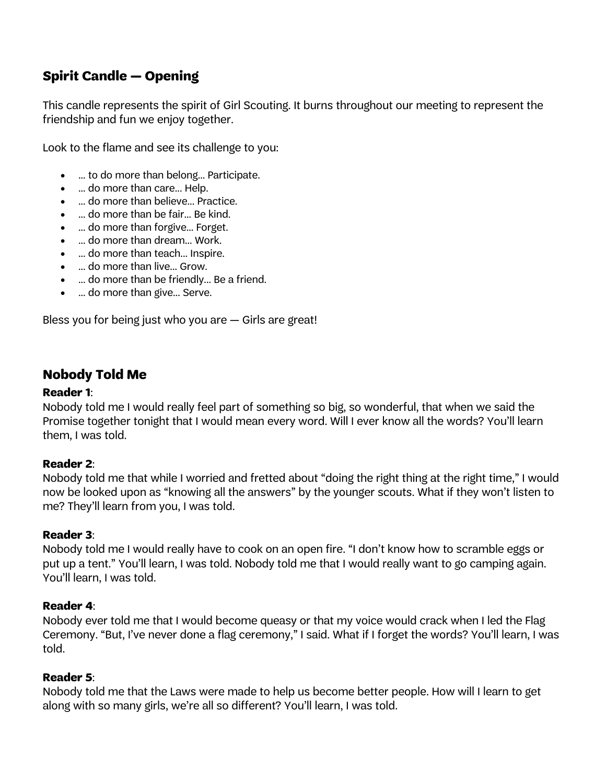# **Spirit Candle — Opening**

This candle represents the spirit of Girl Scouting. It burns throughout our meeting to represent the friendship and fun we enjoy together.

Look to the flame and see its challenge to you:

- ... to do more than belong... Participate.
- ... do more than care... Help.
- ... do more than believe... Practice.
- ... do more than be fair... Be kind.
- ... do more than forgive... Forget.
- ... do more than dream... Work.
- ... do more than teach... Inspire.
- ... do more than live... Grow.
- ... do more than be friendly... Be a friend.
- ... do more than give... Serve.

Bless you for being just who you are — Girls are great!

# **Nobody Told Me**

### **Reader 1**:

Nobody told me I would really feel part of something so big, so wonderful, that when we said the Promise together tonight that I would mean every word. Will I ever know all the words? You'll learn them, I was told.

## **Reader 2**:

Nobody told me that while I worried and fretted about "doing the right thing at the right time," I would now be looked upon as "knowing all the answers" by the younger scouts. What if they won't listen to me? They'll learn from you, I was told.

### **Reader 3**:

Nobody told me I would really have to cook on an open fire. "I don't know how to scramble eggs or put up a tent." You'll learn, I was told. Nobody told me that I would really want to go camping again. You'll learn, I was told.

## **Reader 4**:

Nobody ever told me that I would become queasy or that my voice would crack when I led the Flag Ceremony. "But, I've never done a flag ceremony," I said. What if I forget the words? You'll learn, I was told.

### **Reader 5**:

Nobody told me that the Laws were made to help us become better people. How will I learn to get along with so many girls, we're all so different? You'll learn, I was told.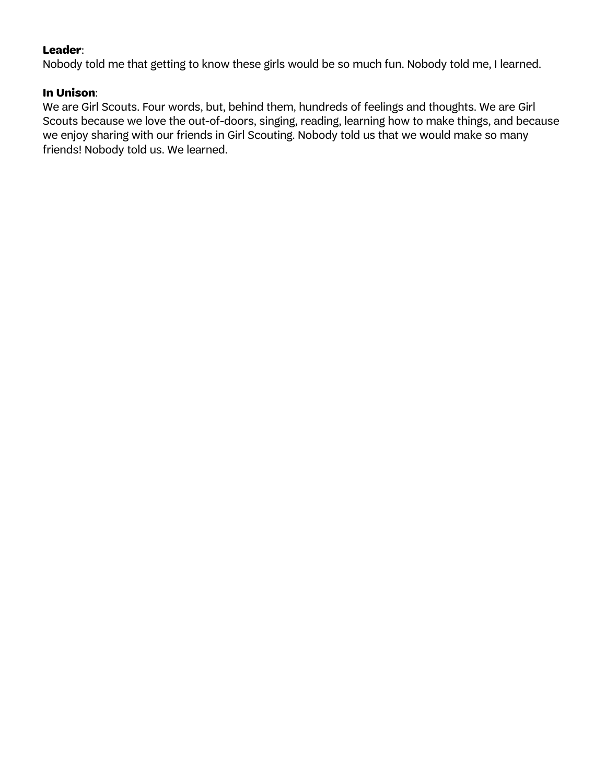## **Leader**:

Nobody told me that getting to know these girls would be so much fun. Nobody told me, I learned.

### **In Unison**:

We are Girl Scouts. Four words, but, behind them, hundreds of feelings and thoughts. We are Girl Scouts because we love the out-of-doors, singing, reading, learning how to make things, and because we enjoy sharing with our friends in Girl Scouting. Nobody told us that we would make so many friends! Nobody told us. We learned.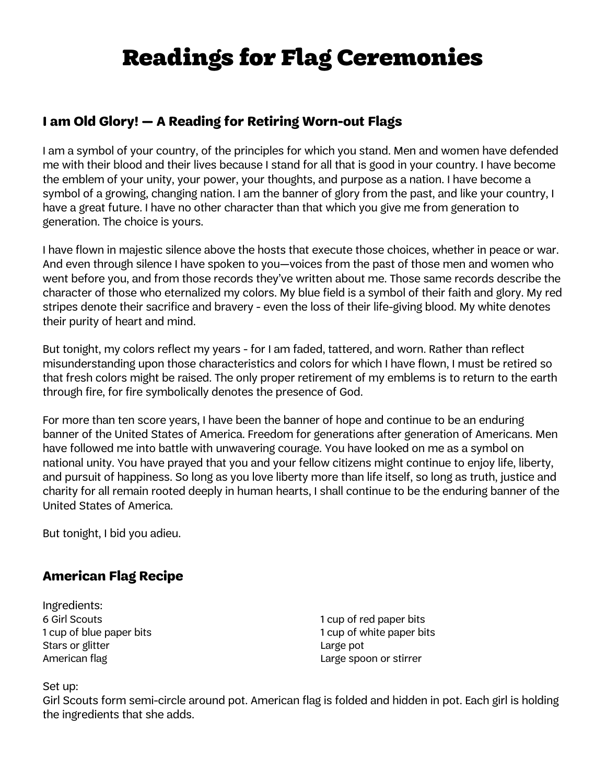# Readings for Flag Ceremonies

# **I am Old Glory! — A Reading for Retiring Worn-out Flags**

I am a symbol of your country, of the principles for which you stand. Men and women have defended me with their blood and their lives because I stand for all that is good in your country. I have become the emblem of your unity, your power, your thoughts, and purpose as a nation. I have become a symbol of a growing, changing nation. I am the banner of glory from the past, and like your country, I have a great future. I have no other character than that which you give me from generation to generation. The choice is yours.

I have flown in majestic silence above the hosts that execute those choices, whether in peace or war. And even through silence I have spoken to you—voices from the past of those men and women who went before you, and from those records they've written about me. Those same records describe the character of those who eternalized my colors. My blue field is a symbol of their faith and glory. My red stripes denote their sacrifice and bravery - even the loss of their life-giving blood. My white denotes their purity of heart and mind.

But tonight, my colors reflect my years - for I am faded, tattered, and worn. Rather than reflect misunderstanding upon those characteristics and colors for which I have flown, I must be retired so that fresh colors might be raised. The only proper retirement of my emblems is to return to the earth through fire, for fire symbolically denotes the presence of God.

For more than ten score years, I have been the banner of hope and continue to be an enduring banner of the United States of America. Freedom for generations after generation of Americans. Men have followed me into battle with unwavering courage. You have looked on me as a symbol on national unity. You have prayed that you and your fellow citizens might continue to enjoy life, liberty, and pursuit of happiness. So long as you love liberty more than life itself, so long as truth, justice and charity for all remain rooted deeply in human hearts, I shall continue to be the enduring banner of the United States of America.

But tonight, I bid you adieu.

# **American Flag Recipe**

Ingredients: 6 Girl Scouts 1 cup of blue paper bits Stars or glitter American flag

1 cup of red paper bits 1 cup of white paper bits Large pot Large spoon or stirrer

Set up:

Girl Scouts form semi-circle around pot. American flag is folded and hidden in pot. Each girl is holding the ingredients that she adds.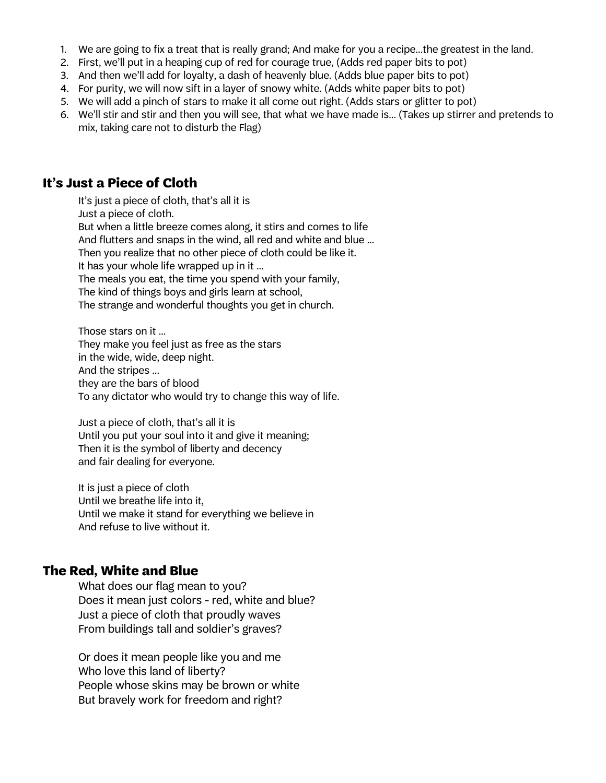- 1. We are going to fix a treat that is really grand; And make for you a recipe...the greatest in the land.
- 2. First, we'll put in a heaping cup of red for courage true, (Adds red paper bits to pot)
- 3. And then we'll add for loyalty, a dash of heavenly blue. (Adds blue paper bits to pot)
- 4. For purity, we will now sift in a layer of snowy white. (Adds white paper bits to pot)
- 5. We will add a pinch of stars to make it all come out right. (Adds stars or glitter to pot)
- 6. We'll stir and stir and then you will see, that what we have made is... (Takes up stirrer and pretends to mix, taking care not to disturb the Flag)

## **It's Just a Piece of Cloth**

It's just a piece of cloth, that's all it is Just a piece of cloth. But when a little breeze comes along, it stirs and comes to life And flutters and snaps in the wind, all red and white and blue ... Then you realize that no other piece of cloth could be like it. It has your whole life wrapped up in it ... The meals you eat, the time you spend with your family, The kind of things boys and girls learn at school, The strange and wonderful thoughts you get in church.

Those stars on it ... They make you feel just as free as the stars in the wide, wide, deep night. And the stripes ... they are the bars of blood To any dictator who would try to change this way of life.

Just a piece of cloth, that's all it is Until you put your soul into it and give it meaning; Then it is the symbol of liberty and decency and fair dealing for everyone.

It is just a piece of cloth Until we breathe life into it, Until we make it stand for everything we believe in And refuse to live without it.

## **The Red, White and Blue**

What does our flag mean to you? Does it mean just colors - red, white and blue? Just a piece of cloth that proudly waves From buildings tall and soldier's graves?

Or does it mean people like you and me Who love this land of liberty? People whose skins may be brown or white But bravely work for freedom and right?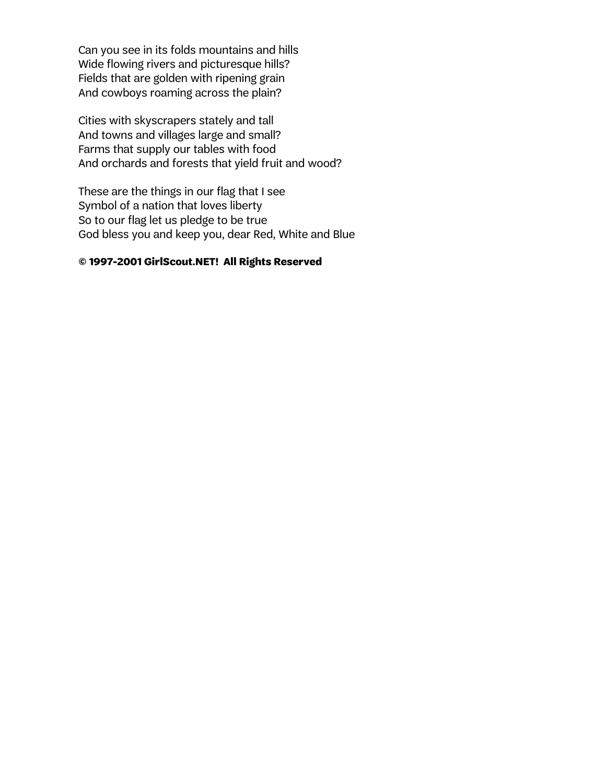Can you see in its folds mountains and hills Wide flowing rivers and picturesque hills? Fields that are golden with ripening grain And cowboys roaming across the plain?

Cities with skyscrapers stately and tall And towns and villages large and small? Farms that supply our tables with food And orchards and forests that yield fruit and wood?

These are the things in our flag that I see Symbol of a nation that loves liberty So to our flag let us pledge to be true God bless you and keep you, dear Red, White and Blue

#### **© 1997-2001 GirlScout.NET! All Rights Reserved**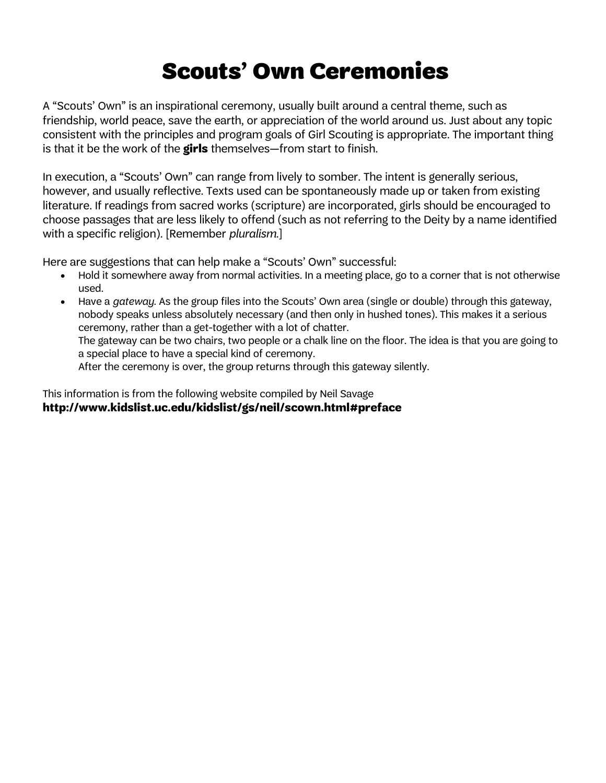# Scouts' Own Ceremonies

A "Scouts' Own" is an inspirational ceremony, usually built around a central theme, such as friendship, world peace, save the earth, or appreciation of the world around us. Just about any topic consistent with the principles and program goals of Girl Scouting is appropriate. The important thing is that it be the work of the **girls** themselves—from start to finish.

In execution, a "Scouts' Own" can range from lively to somber. The intent is generally serious, however, and usually reflective. Texts used can be spontaneously made up or taken from existing literature. If readings from sacred works (scripture) are incorporated, girls should be encouraged to choose passages that are less likely to offend (such as not referring to the Deity by a name identified with a specific religion). [Remember *pluralism*.]

Here are suggestions that can help make a "Scouts' Own" successful:

- Hold it somewhere away from normal activities. In a meeting place, go to a corner that is not otherwise used.
- Have a *gateway*. As the group files into the Scouts' Own area (single or double) through this gateway, nobody speaks unless absolutely necessary (and then only in hushed tones). This makes it a serious ceremony, rather than a get-together with a lot of chatter. The gateway can be two chairs, two people or a chalk line on the floor. The idea is that you are going to a special place to have a special kind of ceremony. After the ceremony is over, the group returns through this gateway silently.

This information is from the following website compiled by Neil Savage **http://www.kidslist.uc.edu/kidslist/gs/neil/scown.html#preface**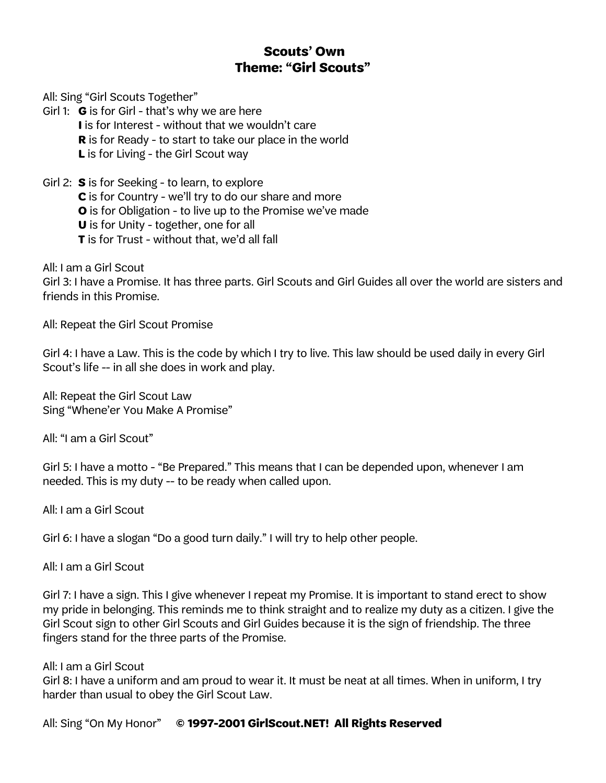# **Scouts' Own Theme: "Girl Scouts"**

All: Sing "Girl Scouts Together"

Girl 1: **G** is for Girl - that's why we are here **I** is for Interest - without that we wouldn't care **R** is for Ready - to start to take our place in the world **L** is for Living - the Girl Scout way

Girl 2: **S** is for Seeking - to learn, to explore **C** is for Country - we'll try to do our share and more **O** is for Obligation - to live up to the Promise we've made **U** is for Unity - together, one for all **T** is for Trust - without that, we'd all fall

All: I am a Girl Scout

Girl 3: I have a Promise. It has three parts. Girl Scouts and Girl Guides all over the world are sisters and friends in this Promise.

All: Repeat the Girl Scout Promise

Girl 4: I have a Law. This is the code by which I try to live. This law should be used daily in every Girl Scout's life -- in all she does in work and play.

All: Repeat the Girl Scout Law Sing "Whene'er You Make A Promise"

All: "I am a Girl Scout"

Girl 5: I have a motto - "Be Prepared." This means that I can be depended upon, whenever I am needed. This is my duty -- to be ready when called upon.

All: I am a Girl Scout

Girl 6: I have a slogan "Do a good turn daily." I will try to help other people.

All: I am a Girl Scout

Girl 7: I have a sign. This I give whenever I repeat my Promise. It is important to stand erect to show my pride in belonging. This reminds me to think straight and to realize my duty as a citizen. I give the Girl Scout sign to other Girl Scouts and Girl Guides because it is the sign of friendship. The three fingers stand for the three parts of the Promise.

#### All: I am a Girl Scout

Girl 8: I have a uniform and am proud to wear it. It must be neat at all times. When in uniform, I try harder than usual to obey the Girl Scout Law.

All: Sing "On My Honor" **© 1997-2001 GirlScout.NET! All Rights Reserved**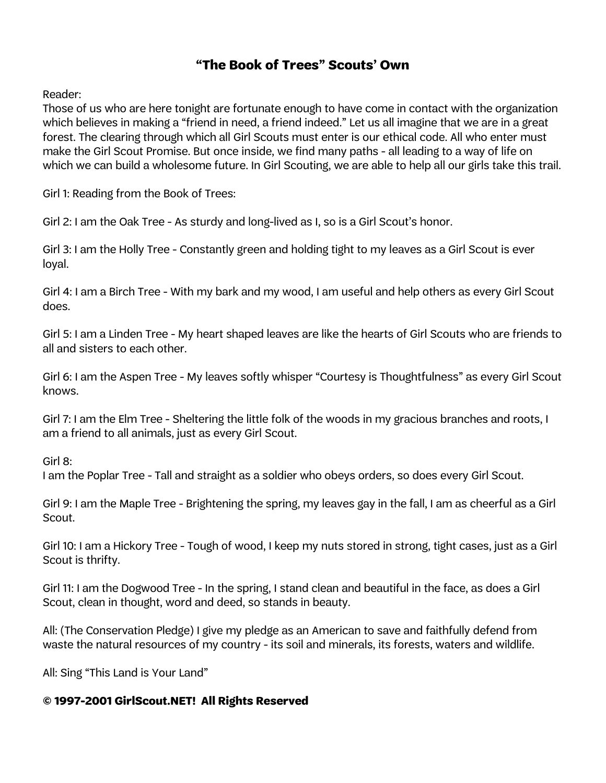## **"The Book of Trees" Scouts' Own**

Reader:

Those of us who are here tonight are fortunate enough to have come in contact with the organization which believes in making a "friend in need, a friend indeed." Let us all imagine that we are in a great forest. The clearing through which all Girl Scouts must enter is our ethical code. All who enter must make the Girl Scout Promise. But once inside, we find many paths - all leading to a way of life on which we can build a wholesome future. In Girl Scouting, we are able to help all our girls take this trail.

Girl 1: Reading from the Book of Trees:

Girl 2: I am the Oak Tree - As sturdy and long-lived as I, so is a Girl Scout's honor.

Girl 3: I am the Holly Tree - Constantly green and holding tight to my leaves as a Girl Scout is ever loyal.

Girl 4: I am a Birch Tree - With my bark and my wood, I am useful and help others as every Girl Scout does.

Girl 5: I am a Linden Tree - My heart shaped leaves are like the hearts of Girl Scouts who are friends to all and sisters to each other.

Girl 6: I am the Aspen Tree - My leaves softly whisper "Courtesy is Thoughtfulness" as every Girl Scout knows.

Girl 7: I am the Elm Tree - Sheltering the little folk of the woods in my gracious branches and roots, I am a friend to all animals, just as every Girl Scout.

Girl 8:

I am the Poplar Tree - Tall and straight as a soldier who obeys orders, so does every Girl Scout.

Girl 9: I am the Maple Tree - Brightening the spring, my leaves gay in the fall, I am as cheerful as a Girl Scout.

Girl 10: I am a Hickory Tree - Tough of wood, I keep my nuts stored in strong, tight cases, just as a Girl Scout is thrifty.

Girl 11: I am the Dogwood Tree - In the spring, I stand clean and beautiful in the face, as does a Girl Scout, clean in thought, word and deed, so stands in beauty.

All: (The Conservation Pledge) I give my pledge as an American to save and faithfully defend from waste the natural resources of my country - its soil and minerals, its forests, waters and wildlife.

All: Sing "This Land is Your Land"

### **© 1997-2001 GirlScout.NET! All Rights Reserved**